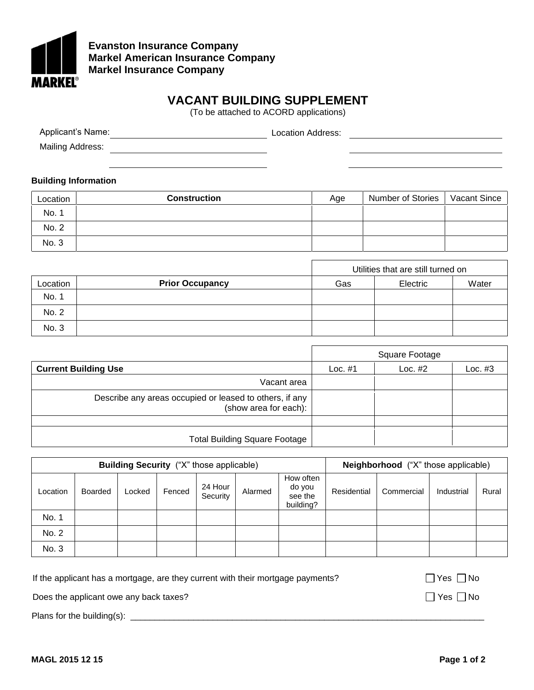

## **Evanston Insurance Company Markel American Insurance Company Markel Insurance Company**

## **VACANT BUILDING SUPPLEMENT**

(To be attached to ACORD applications)

Location Address: Applicant's Name: Mailing Address:

## **Building Information**

| Location | <b>Construction</b> | Age | <b>Number of Stories</b> | <b>Vacant Since</b> |
|----------|---------------------|-----|--------------------------|---------------------|
| No. 1    |                     |     |                          |                     |
| No. 2    |                     |     |                          |                     |
| No. 3    |                     |     |                          |                     |

|          |                        | Utilities that are still turned on |          |       |  |
|----------|------------------------|------------------------------------|----------|-------|--|
| Location | <b>Prior Occupancy</b> | Gas                                | Electric | Water |  |
| No. 1    |                        |                                    |          |       |  |
| No. 2    |                        |                                    |          |       |  |
| No. 3    |                        |                                    |          |       |  |

|                                                                                  | Square Footage |           |         |
|----------------------------------------------------------------------------------|----------------|-----------|---------|
| <b>Current Building Use</b>                                                      | Loc. $#1$      | Loc. $#2$ | Loc. #3 |
| Vacant area                                                                      |                |           |         |
| Describe any areas occupied or leased to others, if any<br>(show area for each): |                |           |         |
|                                                                                  |                |           |         |
| <b>Total Building Square Footage</b>                                             |                |           |         |

| Building Security ("X" those applicable) |                |        |        |                     |         | <b>Neighborhood</b> ("X" those applicable)  |             |            |            |       |
|------------------------------------------|----------------|--------|--------|---------------------|---------|---------------------------------------------|-------------|------------|------------|-------|
| Location                                 | <b>Boarded</b> | Locked | Fenced | 24 Hour<br>Security | Alarmed | How often<br>do you<br>see the<br>building? | Residential | Commercial | Industrial | Rural |
| No. 1                                    |                |        |        |                     |         |                                             |             |            |            |       |
| No. 2                                    |                |        |        |                     |         |                                             |             |            |            |       |
| No. 3                                    |                |        |        |                     |         |                                             |             |            |            |       |

If the applicant has a mortgage, are they current with their mortgage payments?  $\Box$  Yes  $\Box$  No

Does the applicant owe any back taxes?  $\Box$  Yes  $\Box$  No

Plans for the building(s): \_\_\_\_\_\_\_\_\_\_\_\_\_\_\_\_\_\_\_\_\_\_\_\_\_\_\_\_\_\_\_\_\_\_\_\_\_\_\_\_\_\_\_\_\_\_\_\_\_\_\_\_\_\_\_\_\_\_\_\_\_\_\_\_\_\_\_\_\_\_\_\_\_